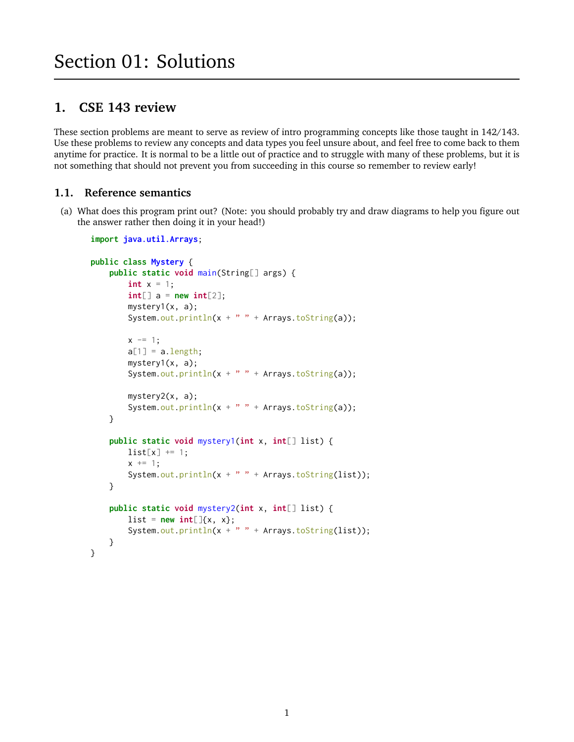# **1. CSE 143 review**

These section problems are meant to serve as review of intro programming concepts like those taught in 142/143. Use these problems to review any concepts and data types you feel unsure about, and feel free to come back to them anytime for practice. It is normal to be a little out of practice and to struggle with many of these problems, but it is not something that should not prevent you from succeeding in this course so remember to review early!

# **1.1. Reference semantics**

(a) What does this program print out? (Note: you should probably try and draw diagrams to help you figure out the answer rather then doing it in your head!)

```
import java.util.Arrays;
public class Mystery {
    public static void main(String[] args) {
        int x = 1;
        int[] a = new int[2];
        mystery1(x, a);
        System.out.println(x + " " + Arrays.toString(a));
        x = 1;a[1] = a.length;mystery1(x, a);
        System.out.println(x + " " + Arrays.toString(a));
        mystery2(x, a);
        System.out.println(x + " " + Arrays.toString(a));
    }
    public static void mystery1(int x, int[] list) {
        list[x] += 1;x \leftarrow + = 1;System.out.println(x + " " + Arrays.toString(list));}
    public static void mystery2(int x, int[] list) {
        list = new int[]{x, x};System.out.println(x + " " + Arrays.toString(list));}
}
```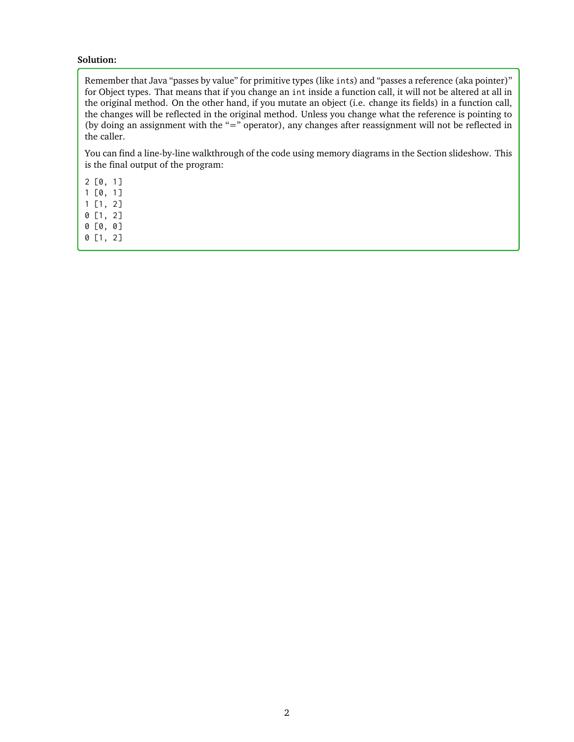#### **Solution:**

Remember that Java "passes by value" for primitive types (like ints) and "passes a reference (aka pointer)" for Object types. That means that if you change an int inside a function call, it will not be altered at all in the original method. On the other hand, if you mutate an object (i.e. change its fields) in a function call, the changes will be reflected in the original method. Unless you change what the reference is pointing to (by doing an assignment with the "=" operator), any changes after reassignment will not be reflected in the caller.

You can find a line-by-line walkthrough of the code using memory diagrams in the Section slideshow. This is the final output of the program:

2

2 [0, 1]

1 [0, 1]

1 [1, 2]

0 [1, 2]

0 [0, 0] 0 [1, 2]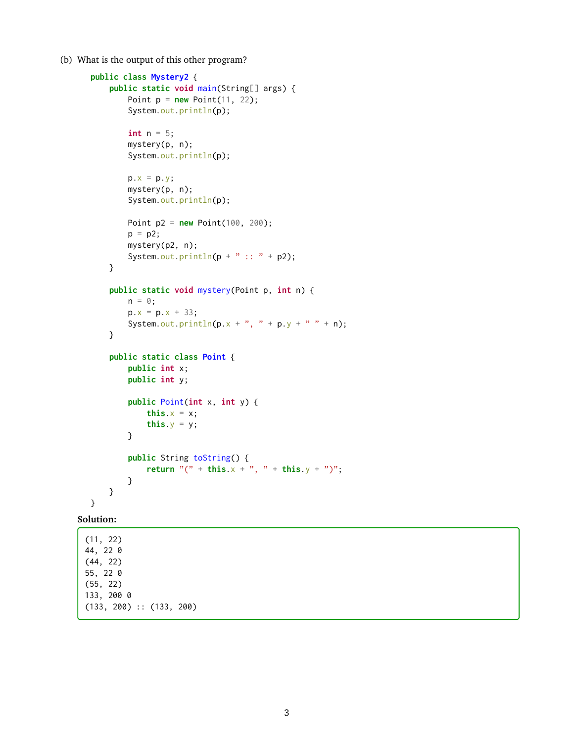(b) What is the output of this other program?

```
public class Mystery2 {
    public static void main(String[] args) {
        Point p = new Point(11, 22);System.out.println(p);
        int n = 5;
        mystery(p, n);
        System.out.println(p);
        p.x = p.y;mystery(p, n);
        System.out.println(p);
        Point p2 = new Point(100, 200);
        p = p2;mystery(p2, n);
        System.out.println(p + " :: " + p2);}
    public static void mystery(Point p, int n) {
        n = 0;p.x = p.x + 33;System.out.println(p.x + ", " + p.y + " " + n);
    }
    public static class Point {
        public int x;
        public int y;
        public Point(int x, int y) {
            this.x = x;
            this.y = y;
        }
        public String toString() {
            return \binom{n}{x} + this.x + \binom{n}{y} + this.y + \binom{n}{y};
        }
    }
```
#### **Solution:**

}

(11, 22) 44, 22 0 (44, 22) 55, 22 0 (55, 22) 133, 200 0 (133, 200) :: (133, 200)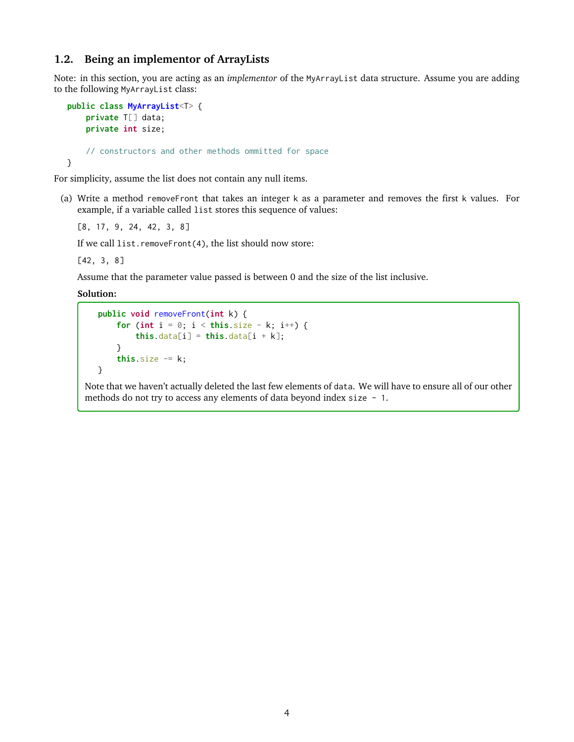# <span id="page-3-0"></span>**1.2. Being an implementor of ArrayLists**

Note: in this section, you are acting as an *implementor* of the MyArrayList data structure. Assume you are adding to the following MyArrayList class:

```
public class MyArrayList<T> {
    private T[] data;
    private int size;
    // constructors and other methods ommitted for space
}
```
For simplicity, assume the list does not contain any null items.

(a) Write a method removeFront that takes an integer k as a parameter and removes the first k values. For example, if a variable called list stores this sequence of values:

[8, 17, 9, 24, 42, 3, 8]

If we call list.removeFront(4), the list should now store:

[42, 3, 8]

Assume that the parameter value passed is between 0 and the size of the list inclusive.

**Solution:**

```
public void removeFront(int k) {
    for (int i = 0; i < this.size - k; i^{++}) {
        this.data[i] = this.data[i + k];
    }
    this.size - k;
}
```
Note that we haven't actually deleted the last few elements of data. We will have to ensure all of our other methods do not try to access any elements of data beyond index size - 1.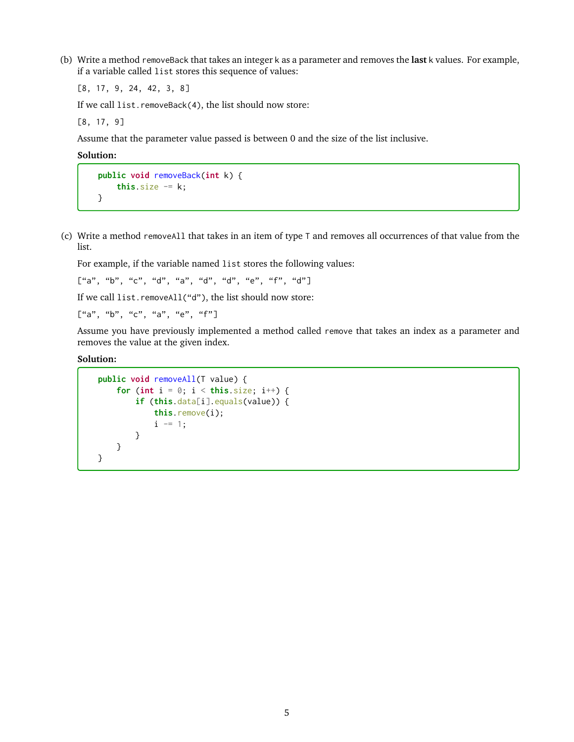(b) Write a method removeBack that takes an integer k as a parameter and removes the **last** k values. For example, if a variable called list stores this sequence of values:

[8, 17, 9, 24, 42, 3, 8]

If we call list.removeBack(4), the list should now store:

[8, 17, 9]

Assume that the parameter value passed is between 0 and the size of the list inclusive.

**Solution:**

```
public void removeBack(int k) {
   this.size - k;
}
```
(c) Write a method removeAll that takes in an item of type T and removes all occurrences of that value from the list.

For example, if the variable named list stores the following values:

 $\left[\begin{smallmatrix} u' a'' & u' b'' & u' c'' & u' d'' & u' d'' & u' d'' & u' e'' & u' f'' & u' d'' \end{smallmatrix}\right]$ 

If we call list.removeAll("d"), the list should now store:

 $\begin{bmatrix} u_{a}, & u_{b}, & u_{c}, & u_{a}, & u_{e}, & u_{f} \end{bmatrix}$ 

Assume you have previously implemented a method called remove that takes an index as a parameter and removes the value at the given index.

```
public void removeAll(T value) {
    for (int i = 0; i < this size; i^{++}) {
        if (this.data[i].equals(value)) {
            this.remove(i);
            i = 1;}
    }
}
```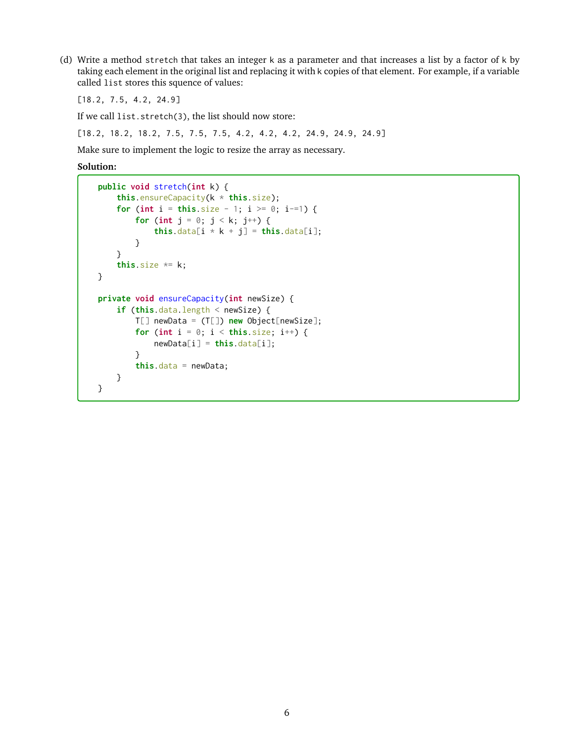(d) Write a method stretch that takes an integer k as a parameter and that increases a list by a factor of k by taking each element in the original list and replacing it with k copies of that element. For example, if a variable called list stores this squence of values:

[18.2, 7.5, 4.2, 24.9]

If we call list.stretch(3), the list should now store:

[18.2, 18.2, 18.2, 7.5, 7.5, 7.5, 4.2, 4.2, 4.2, 24.9, 24.9, 24.9]

Make sure to implement the logic to resize the array as necessary.

```
public void stretch(int k) {
    this.ensureCapacity(k * this.size);
    for (int i = this.size - 1; i >= 0; i-=1) {
        for (int j = 0; j < k; j^{++}) {
            this.data[i * k + j] = this.data[i];
        }
    }
    this.size *= k;}
private void ensureCapacity(int newSize) {
    if (this.data.length < newSize) {
        T[] newData = (T[]) new Object[newSize];
        for (int i = 0; i < this size; i^{++}) {
            newData[i] = this.data[i];}
        this.data = newData;
    }
}
```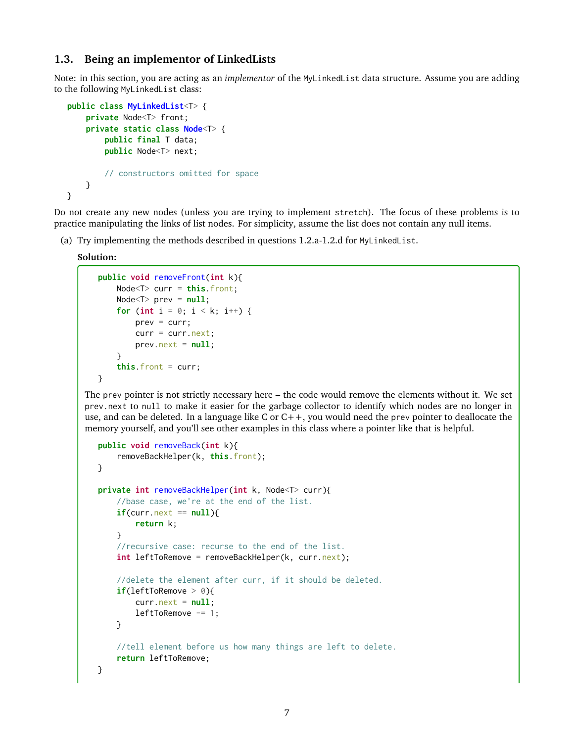# <span id="page-6-0"></span>**1.3. Being an implementor of LinkedLists**

Note: in this section, you are acting as an *implementor* of the MyLinkedList data structure. Assume you are adding to the following MyLinkedList class:

```
public class MyLinkedList<T> {
    private Node<T> front;
    private static class Node<T> {
        public final T data;
        public Node<T> next;
        // constructors omitted for space
   }
}
```
Do not create any new nodes (unless you are trying to implement stretch). The focus of these problems is to practice manipulating the links of list nodes. For simplicity, assume the list does not contain any null items.

(a) Try implementing the methods described in questions 1.2.a-1.2.d for MyLinkedList.

**Solution:**

```
public void removeFront(int k){
    Node<T> curr = this.front;
    Node<T> prev = null;
    for (int i = 0; i < k; i^{++}) {
        prev = curr;curr = curr.next;prev.next = null;}
    this.front = curr;
}
```
The prev pointer is not strictly necessary here – the code would remove the elements without it. We set prev.next to null to make it easier for the garbage collector to identify which nodes are no longer in use, and can be deleted. In a language like C or  $C_{++}$ , you would need the prev pointer to deallocate the memory yourself, and you'll see other examples in this class where a pointer like that is helpful.

```
public void removeBack(int k){
    removeBackHelper(k, this.front);
}
private int removeBackHelper(int k, Node<T> curr){
   //base case, we're at the end of the list.
   if(curr.next == null){
        return k;
   }
    //recursive case: recurse to the end of the list.
    int leftToRemove = removeBackHelper(k, curr.next);
    //delete the element after curr, if it should be deleted.
    if(leftToRemove > 0){
        curr.next = null;leftToRemove = 1;}
   //tell element before us how many things are left to delete.
    return leftToRemove;
}
```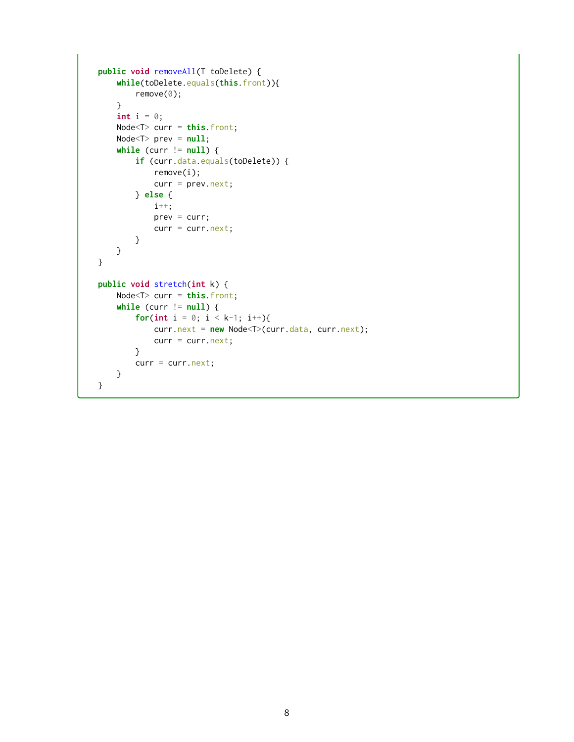```
public void removeAll(T toDelete) {
    while(toDelete.equals(this.front)){
        remove(0);
    }
    int i = 0;
    Node<T> curr = this.front;
    Node<T> prev = null;
   while (curr != null) {
        if (curr.data.equals(toDelete)) {
            remove(i);
            curr = prev.next;} else {
            i++;
            prev = curr;curr = curr.next;
        }
   }
}
public void stretch(int k) {
    Node<T> curr = this.front;
    while (curr != null) {
        for(int i = 0; i < k-1; i++){
            curr.next = new Node<T>(curr.data, curr.next);
            curr = curr.next;}
        curr = curr.next;}
}
```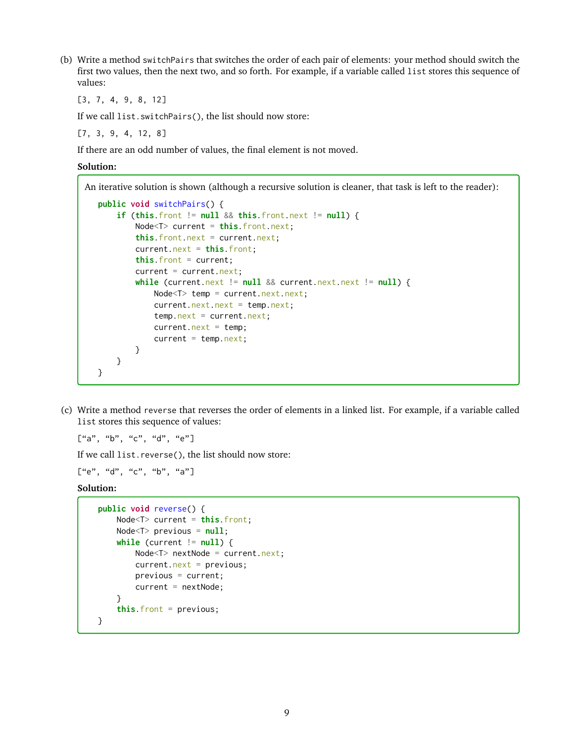(b) Write a method switchPairs that switches the order of each pair of elements: your method should switch the first two values, then the next two, and so forth. For example, if a variable called list stores this sequence of values:

[3, 7, 4, 9, 8, 12]

If we call list.switchPairs(), the list should now store:

[7, 3, 9, 4, 12, 8]

If there are an odd number of values, the final element is not moved.

**Solution:**

An iterative solution is shown (although a recursive solution is cleaner, that task is left to the reader):

```
public void switchPairs() {
    if (this.front != null && this.front.next != null) {
        Node<T> current = this.front.next;
        this.front.next = current.next;
        current.next = this.front;
        this.front = current;
        current = current.next;while (current.next != null && current.next.next != null) {
           Node<T> temp = current.next.next;
           current.next.next = temp.next;
            temp.next = current.next;current.next = temp;
           current = temp.next;}
   }
}
```
(c) Write a method reverse that reverses the order of elements in a linked list. For example, if a variable called list stores this sequence of values:

 $\begin{bmatrix} u' a''', & u' b''', & u'' c''', & u'' e'' \end{bmatrix}$ 

If we call list.reverse(), the list should now store:

 $\begin{bmatrix} u e''', & u' d''', & u'' c''', & u'' b''', & u'' d'' \end{bmatrix}$ 

```
public void reverse() {
    Node<T> current = this.front;
    Node<T> previous = null;
    while (current != null) {
        Node<T> nextNode = current.next;
        current.next = previous;previous = current;
        current = nextNode;
    }
    this.front = previous;
}
```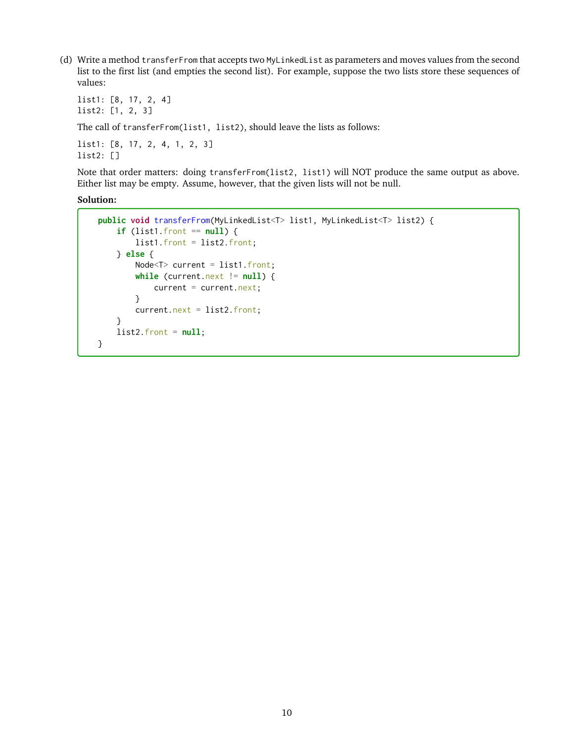(d) Write a method transferFrom that accepts two MyLinkedList as parameters and moves values from the second list to the first list (and empties the second list). For example, suppose the two lists store these sequences of values:

list1: [8, 17, 2, 4] list2: [1, 2, 3] The call of transferFrom(list1, list2), should leave the lists as follows: list1: [8, 17, 2, 4, 1, 2, 3]

list2: []

Note that order matters: doing transferFrom(list2, list1) will NOT produce the same output as above. Either list may be empty. Assume, however, that the given lists will not be null.

```
public void transferFrom(MyLinkedList<T> list1, MyLinkedList<T> list2) {
    if (list1.front == null) {
        list1.front = list2.front;
    } else {
       Node<T> current = list1.front;
        while (current.next != null) {
            current = current.next;
        }
        current.next = list2.front;
    }
   list2.front = null;
}
```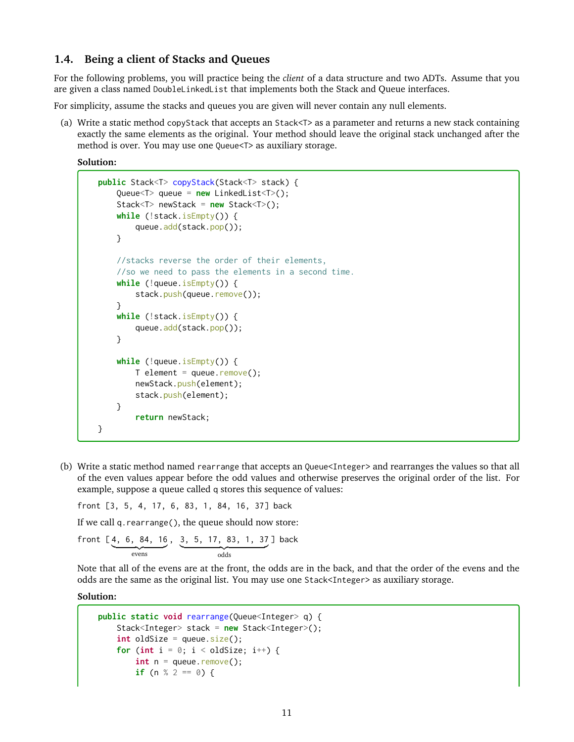# **1.4. Being a client of Stacks and Queues**

For the following problems, you will practice being the *client* of a data structure and two ADTs. Assume that you are given a class named DoubleLinkedList that implements both the Stack and Queue interfaces.

For simplicity, assume the stacks and queues you are given will never contain any null elements.

(a) Write a static method copyStack that accepts an Stack<T> as a parameter and returns a new stack containing exactly the same elements as the original. Your method should leave the original stack unchanged after the method is over. You may use one Queue<T> as auxiliary storage.

**Solution:**

```
public Stack<T> copyStack(Stack<T> stack) {
    Queue<T> queue = new LinkedList<T>();
    Stack<T> newStack = new Stack<T>();
    while (!stack.isEmpty()) {
        queue.add(stack.pop());
    }
    //stacks reverse the order of their elements,
    //so we need to pass the elements in a second time.
    while (!queue.isEmpty()) {
        stack.push(queue.remove());
    }
    while (!stack.isEmpty()) {
        queue.add(stack.pop());
    }
    while (!queue.isEmpty()) {
        T element = queue.remove();
        newStack.push(element);
        stack.push(element);
    }
        return newStack;
}
```
(b) Write a static method named rearrange that accepts an Queue<Integer> and rearranges the values so that all of the even values appear before the odd values and otherwise preserves the original order of the list. For example, suppose a queue called q stores this sequence of values:

front [3, 5, 4, 17, 6, 83, 1, 84, 16, 37] back

If we call q.rearrange(), the queue should now store:

front 
$$
[4, 6, 84, 16, 3, 5, 17, 83, 1, 37]
$$
 back  
evens

Note that all of the evens are at the front, the odds are in the back, and that the order of the evens and the odds are the same as the original list. You may use one Stack<Integer> as auxiliary storage.

```
public static void rearrange(Queue<Integer> q) {
    Stack<Integer> stack = new Stack<Integer>();
    int oldSize = queue.size();
    for (int i = 0; i < oldSize; i++) {
        \text{int } n = \text{queue.} \text{remove}();if (n % 2 == 0) {
```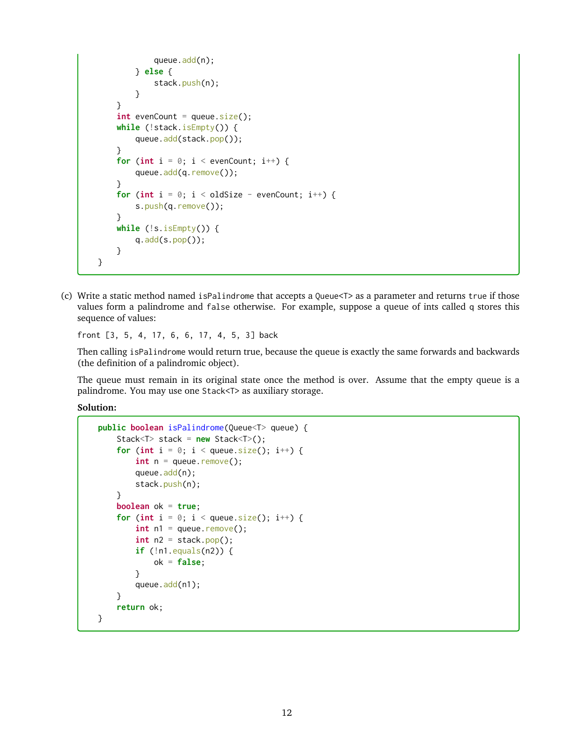```
queue.add(n);
        } else {
            stack.push(n);
        }
    }
    \text{int} evenCount = queue.size();
    while (!stack.isEmpty()) {
        queue.add(stack.pop());
    }
    for (int i = 0; i < evenCount; i++) {
        queue.add(q.remove());
    }
    for (int i = 0; i < oldSize - evenCount; i^{++}) {
        s.push(q.remove());
    }
    while (!s.isEmpty()) {
        q.add(s.pop());
    }
}
```
(c) Write a static method named isPalindrome that accepts a Queue<T> as a parameter and returns true if those values form a palindrome and false otherwise. For example, suppose a queue of ints called q stores this sequence of values:

front [3, 5, 4, 17, 6, 6, 17, 4, 5, 3] back

Then calling isPalindrome would return true, because the queue is exactly the same forwards and backwards (the definition of a palindromic object).

The queue must remain in its original state once the method is over. Assume that the empty queue is a palindrome. You may use one Stack<T> as auxiliary storage.

```
public boolean isPalindrome(Queue<T> queue) {
    Stack<T> stack = new Stack<T>();
    for (int i = 0; i < queue.size(); i^{++}) {
         int n = queue. remove();
         queue.add(n);
         stack.push(n);
    }
    boolean ok = true;
    for (int i = 0; i < queue.size(); i^{++}) {
         \text{int } n1 = \text{queue.} \text{remove();}int n2 = stack.pop();
         if (!n1.equals(n2)) {
             ok = false;
         }
         queue.add(n1);
    }
    return ok;
}
```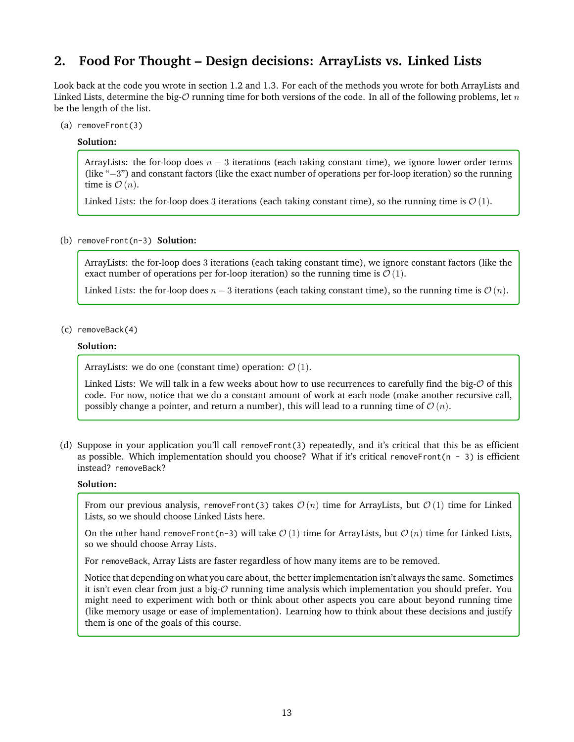# **2. Food For Thought – Design decisions: ArrayLists vs. Linked Lists**

Look back at the code you wrote in section [1.2](#page-3-0) and [1.3.](#page-6-0) For each of the methods you wrote for both ArrayLists and Linked Lists, determine the big- $O$  running time for both versions of the code. In all of the following problems, let  $n$ be the length of the list.

(a) removeFront(3)

## **Solution:**

ArrayLists: the for-loop does  $n - 3$  iterations (each taking constant time), we ignore lower order terms (like "−3") and constant factors (like the exact number of operations per for-loop iteration) so the running time is  $\mathcal{O}(n)$ .

Linked Lists: the for-loop does 3 iterations (each taking constant time), so the running time is  $\mathcal{O}(1)$ .

(b) removeFront(n-3) **Solution:**

ArrayLists: the for-loop does 3 iterations (each taking constant time), we ignore constant factors (like the exact number of operations per for-loop iteration) so the running time is  $\mathcal{O}(1)$ .

Linked Lists: the for-loop does  $n-3$  iterations (each taking constant time), so the running time is  $\mathcal{O}(n)$ .

(c) removeBack(4)

### **Solution:**

ArrayLists: we do one (constant time) operation:  $\mathcal{O}(1)$ .

Linked Lists: We will talk in a few weeks about how to use recurrences to carefully find the big- $\mathcal O$  of this code. For now, notice that we do a constant amount of work at each node (make another recursive call, possibly change a pointer, and return a number), this will lead to a running time of  $\mathcal{O}(n)$ .

(d) Suppose in your application you'll call removeFront(3) repeatedly, and it's critical that this be as efficient as possible. Which implementation should you choose? What if it's critical removeFront(n - 3) is efficient instead? removeBack?

## **Solution:**

From our previous analysis, removeFront(3) takes  $\mathcal{O}(n)$  time for ArrayLists, but  $\mathcal{O}(1)$  time for Linked Lists, so we should choose Linked Lists here.

On the other hand removeFront(n-3) will take  $\mathcal{O}(1)$  time for ArrayLists, but  $\mathcal{O}(n)$  time for Linked Lists, so we should choose Array Lists.

For removeBack, Array Lists are faster regardless of how many items are to be removed.

Notice that depending on what you care about, the better implementation isn't always the same. Sometimes it isn't even clear from just a big- $\mathcal O$  running time analysis which implementation you should prefer. You might need to experiment with both or think about other aspects you care about beyond running time (like memory usage or ease of implementation). Learning how to think about these decisions and justify them is one of the goals of this course.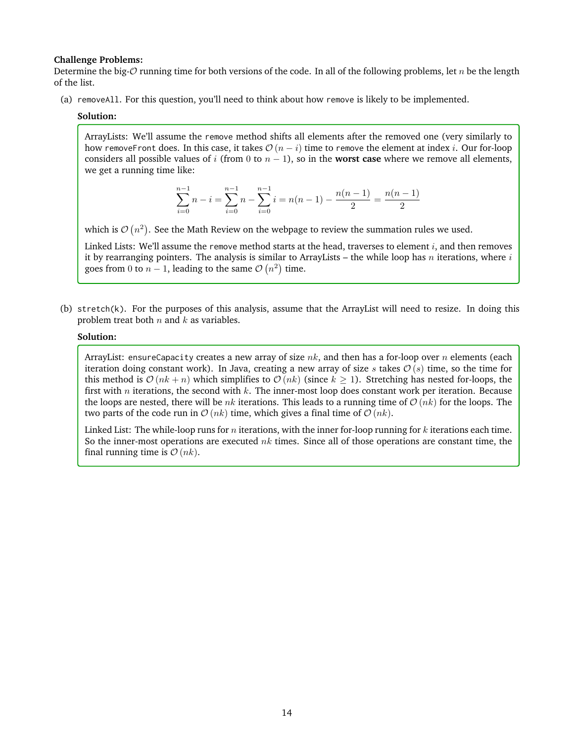#### **Challenge Problems:**

Determine the big- $O$  running time for both versions of the code. In all of the following problems, let n be the length of the list.

(a) removeAll. For this question, you'll need to think about how remove is likely to be implemented.

#### **Solution:**

ArrayLists: We'll assume the remove method shifts all elements after the removed one (very similarly to how removeFront does. In this case, it takes  $\mathcal{O}(n-i)$  time to remove the element at index *i*. Our for-loop considers all possible values of i (from 0 to  $n - 1$ ), so in the **worst case** where we remove all elements, we get a running time like:

$$
\sum_{i=0}^{n-1} n - i = \sum_{i=0}^{n-1} n - \sum_{i=0}^{n-1} i = n(n-1) - \frac{n(n-1)}{2} = \frac{n(n-1)}{2}
$$

which is  $\mathcal{O}\left(n^2\right)$ . See the Math Review on the webpage to review the summation rules we used.

Linked Lists: We'll assume the remove method starts at the head, traverses to element  $i$ , and then removes it by rearranging pointers. The analysis is similar to ArrayLists – the while loop has  $n$  iterations, where  $i$ goes from 0 to  $n-1$ , leading to the same  $\mathcal{O}(n^2)$  time.

(b) stretch(k). For the purposes of this analysis, assume that the ArrayList will need to resize. In doing this problem treat both  $n$  and  $k$  as variables.

## **Solution:**

ArrayList: ensureCapacity creates a new array of size  $nk$ , and then has a for-loop over n elements (each iteration doing constant work). In Java, creating a new array of size s takes  $\mathcal{O}(s)$  time, so the time for this method is  $\mathcal{O}(nk + n)$  which simplifies to  $\mathcal{O}(nk)$  (since  $k \ge 1$ ). Stretching has nested for-loops, the first with  $n$  iterations, the second with  $k$ . The inner-most loop does constant work per iteration. Because the loops are nested, there will be  $nk$  iterations. This leads to a running time of  $\mathcal{O}(nk)$  for the loops. The two parts of the code run in  $\mathcal{O}(nk)$  time, which gives a final time of  $\mathcal{O}(nk)$ .

Linked List: The while-loop runs for n iterations, with the inner for-loop running for  $k$  iterations each time. So the inner-most operations are executed  $nk$  times. Since all of those operations are constant time, the final running time is  $\mathcal{O}(nk)$ .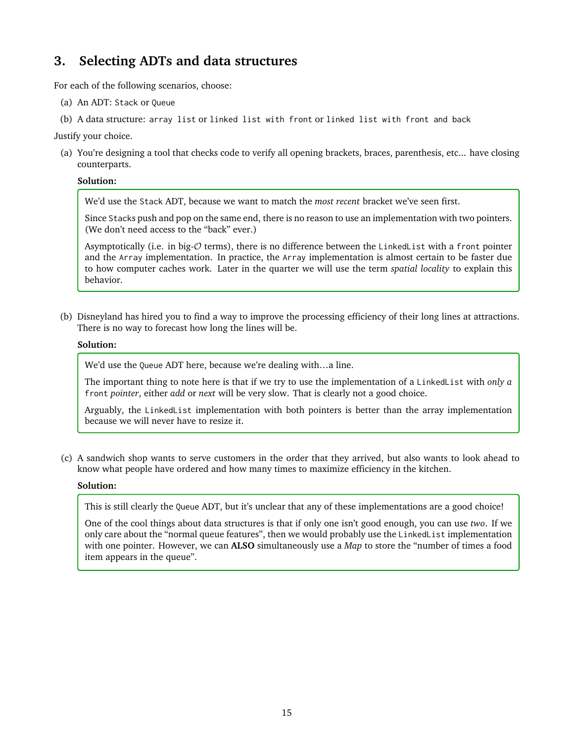# **3. Selecting ADTs and data structures**

For each of the following scenarios, choose:

- (a) An ADT: Stack or Queue
- (b) A data structure: array list or linked list with front or linked list with front and back

Justify your choice.

(a) You're designing a tool that checks code to verify all opening brackets, braces, parenthesis, etc... have closing counterparts.

# **Solution:**

We'd use the Stack ADT, because we want to match the *most recent* bracket we've seen first.

Since Stacks push and pop on the same end, there is no reason to use an implementation with two pointers. (We don't need access to the "back" ever.)

Asymptotically (i.e. in big-O terms), there is no difference between the LinkedList with a front pointer and the Array implementation. In practice, the Array implementation is almost certain to be faster due to how computer caches work. Later in the quarter we will use the term *spatial locality* to explain this behavior.

(b) Disneyland has hired you to find a way to improve the processing efficiency of their long lines at attractions. There is no way to forecast how long the lines will be.

# **Solution:**

We'd use the Queue ADT here, because we're dealing with…a line.

The important thing to note here is that if we try to use the implementation of a LinkedList with *only a* front *pointer*, either *add* or *next* will be very slow. That is clearly not a good choice.

Arguably, the LinkedList implementation with both pointers is better than the array implementation because we will never have to resize it.

(c) A sandwich shop wants to serve customers in the order that they arrived, but also wants to look ahead to know what people have ordered and how many times to maximize efficiency in the kitchen.

# **Solution:**

This is still clearly the Queue ADT, but it's unclear that any of these implementations are a good choice!

One of the cool things about data structures is that if only one isn't good enough, you can use *two*. If we only care about the "normal queue features", then we would probably use the LinkedList implementation with one pointer. However, we can **ALSO** simultaneously use a *Map* to store the "number of times a food item appears in the queue".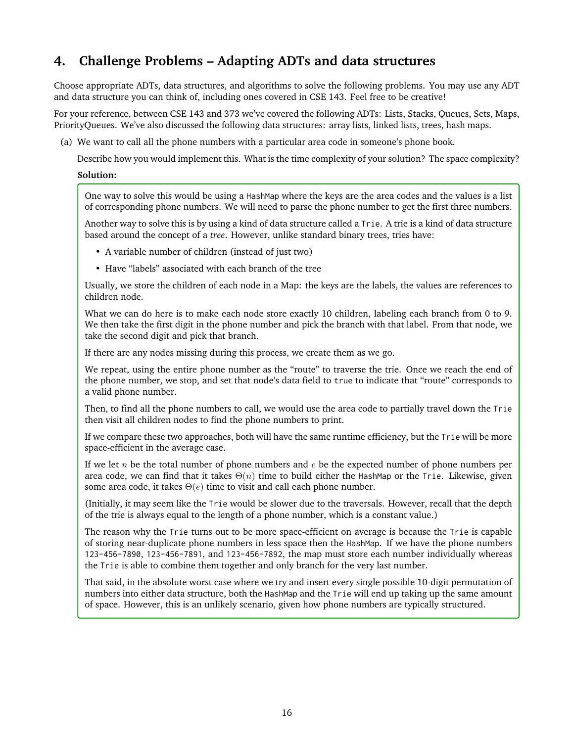# **4. Challenge Problems – Adapting ADTs and data structures**

Choose appropriate ADTs, data structures, and algorithms to solve the following problems. You may use any ADT and data structure you can think of, including ones covered in CSE 143. Feel free to be creative!

For your reference, between CSE 143 and 373 we've covered the following ADTs: Lists, Stacks, Queues, Sets, Maps, PriorityQueues. We've also discussed the following data structures: array lists, linked lists, trees, hash maps.

(a) We want to call all the phone numbers with a particular area code in someone's phone book.

Describe how you would implement this. What is the time complexity of your solution? The space complexity?

### **Solution:**

One way to solve this would be using a HashMap where the keys are the area codes and the values is a list of corresponding phone numbers. We will need to parse the phone number to get the first three numbers.

Another way to solve this is by using a kind of data structure called a Trie. A trie is a kind of data structure based around the concept of a *tree*. However, unlike standard binary trees, tries have:

- A variable number of children (instead of just two)
- Have "labels" associated with each branch of the tree

Usually, we store the children of each node in a Map: the keys are the labels, the values are references to children node.

What we can do here is to make each node store exactly 10 children, labeling each branch from 0 to 9. We then take the first digit in the phone number and pick the branch with that label. From that node, we take the second digit and pick that branch.

If there are any nodes missing during this process, we create them as we go.

We repeat, using the entire phone number as the "route" to traverse the trie. Once we reach the end of the phone number, we stop, and set that node's data field to true to indicate that "route" corresponds to a valid phone number.

Then, to find all the phone numbers to call, we would use the area code to partially travel down the Trie then visit all children nodes to find the phone numbers to print.

If we compare these two approaches, both will have the same runtime efficiency, but the Trie will be more space-efficient in the average case.

If we let n be the total number of phone numbers and  $e$  be the expected number of phone numbers per area code, we can find that it takes  $\Theta(n)$  time to build either the HashMap or the Trie. Likewise, given some area code, it takes  $\Theta(e)$  time to visit and call each phone number.

(Initially, it may seem like the Trie would be slower due to the traversals. However, recall that the depth of the trie is always equal to the length of a phone number, which is a constant value.)

The reason why the Trie turns out to be more space-efficient on average is because the Trie is capable of storing near-duplicate phone numbers in less space then the HashMap. If we have the phone numbers 123-456-7890, 123-456-7891, and 123-456-7892, the map must store each number individually whereas the Trie is able to combine them together and only branch for the very last number.

That said, in the absolute worst case where we try and insert every single possible 10-digit permutation of numbers into either data structure, both the HashMap and the Trie will end up taking up the same amount of space. However, this is an unlikely scenario, given how phone numbers are typically structured.